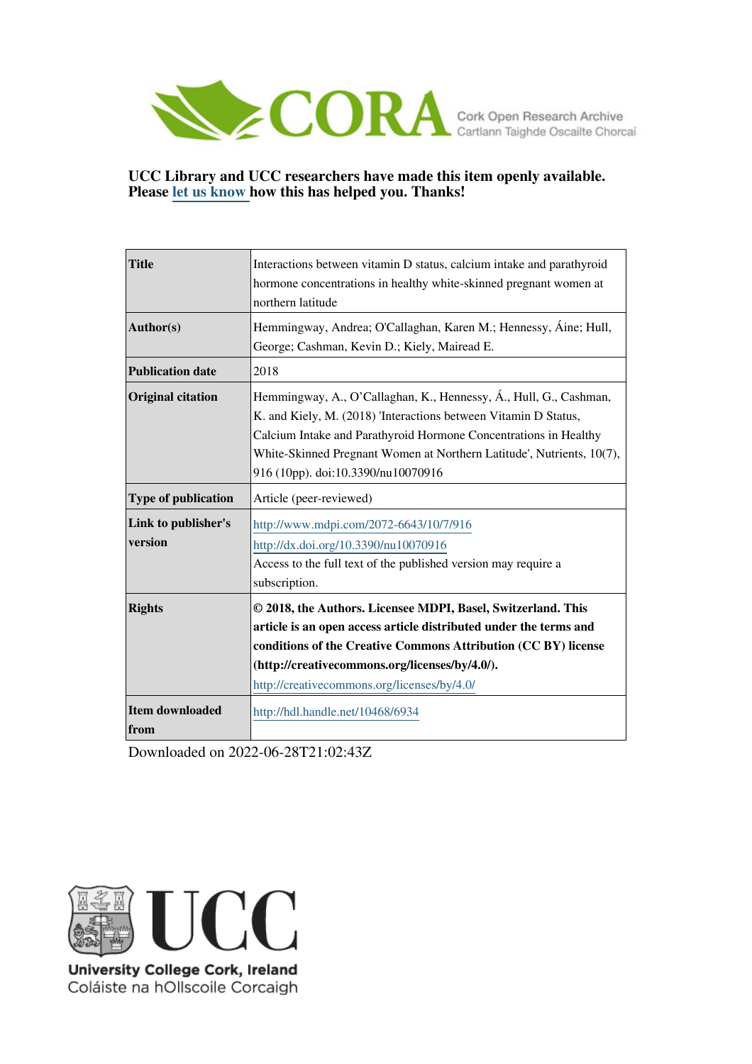

# **UCC Library and UCC researchers have made this item openly available. Please [let us know h](https://libguides.ucc.ie/openaccess/impact?suffix=6934&title=Interactions between vitamin D status, calcium intake and parathyroid hormone concentrations in healthy white-skinned pregnant women at northern latitude)ow this has helped you. Thanks!**

| <b>Title</b>                   | Interactions between vitamin D status, calcium intake and parathyroid<br>hormone concentrations in healthy white-skinned pregnant women at<br>northern latitude                                                                                                                                                         |  |  |  |  |
|--------------------------------|-------------------------------------------------------------------------------------------------------------------------------------------------------------------------------------------------------------------------------------------------------------------------------------------------------------------------|--|--|--|--|
| Author(s)                      | Hemmingway, Andrea; O'Callaghan, Karen M.; Hennessy, Áine; Hull,<br>George; Cashman, Kevin D.; Kiely, Mairead E.                                                                                                                                                                                                        |  |  |  |  |
| <b>Publication date</b>        | 2018                                                                                                                                                                                                                                                                                                                    |  |  |  |  |
| <b>Original citation</b>       | Hemmingway, A., O'Callaghan, K., Hennessy, Á., Hull, G., Cashman,<br>K. and Kiely, M. (2018) 'Interactions between Vitamin D Status,<br>Calcium Intake and Parathyroid Hormone Concentrations in Healthy<br>White-Skinned Pregnant Women at Northern Latitude', Nutrients, 10(7),<br>916 (10pp). doi:10.3390/nu10070916 |  |  |  |  |
| <b>Type of publication</b>     | Article (peer-reviewed)                                                                                                                                                                                                                                                                                                 |  |  |  |  |
| Link to publisher's<br>version | http://www.mdpi.com/2072-6643/10/7/916<br>http://dx.doi.org/10.3390/nu10070916<br>Access to the full text of the published version may require a<br>subscription.                                                                                                                                                       |  |  |  |  |
| <b>Rights</b>                  | © 2018, the Authors. Licensee MDPI, Basel, Switzerland. This<br>article is an open access article distributed under the terms and<br>conditions of the Creative Commons Attribution (CC BY) license<br>(http://creativecommons.org/licenses/by/4.0/).<br>http://creativecommons.org/licenses/by/4.0/                    |  |  |  |  |
| <b>Item downloaded</b><br>from | http://hdl.handle.net/10468/6934                                                                                                                                                                                                                                                                                        |  |  |  |  |

Downloaded on 2022-06-28T21:02:43Z



University College Cork, Ireland Coláiste na hOllscoile Corcaigh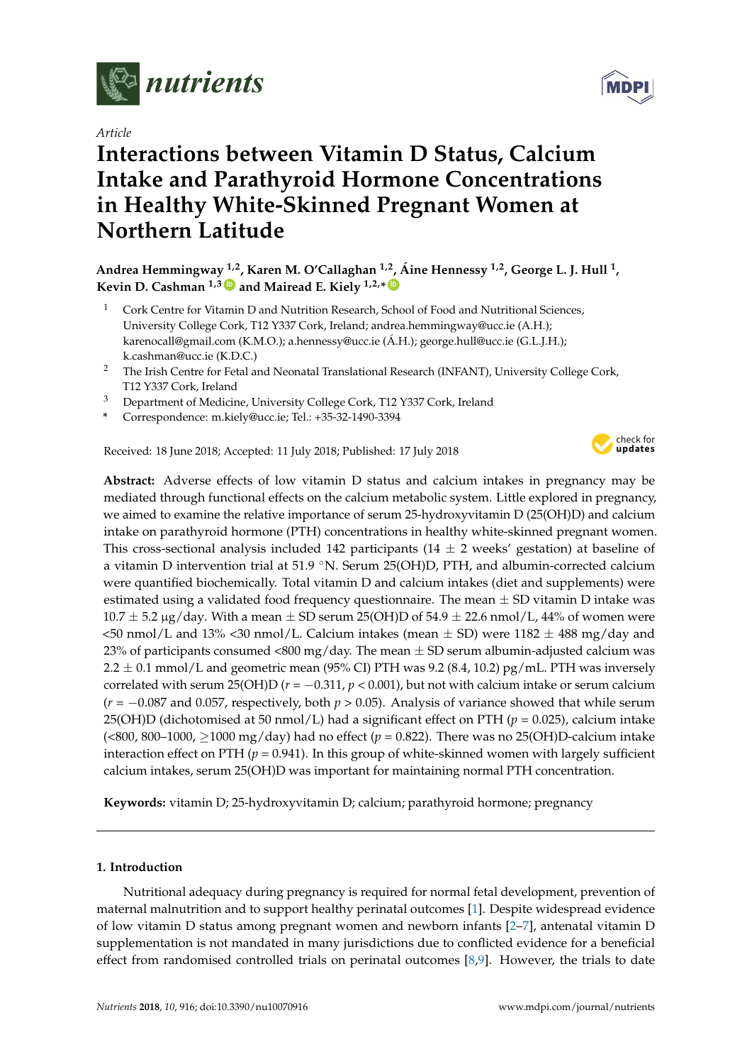

*Article*

# **Interactions between Vitamin D Status, Calcium Intake and Parathyroid Hormone Concentrations in Healthy White-Skinned Pregnant Women at Northern Latitude**

**Andrea Hemmingway 1,2, Karen M. O'Callaghan 1,2 , Áine Hennessy 1,2, George L. J. Hull <sup>1</sup> , Kevin D. Cashman 1,3 [ID](https://orcid.org/0000-0002-8185-1039) and Mairead E. Kiely 1,2,\* [ID](https://orcid.org/0000-0003-0973-808X)**

- <sup>1</sup> Cork Centre for Vitamin D and Nutrition Research, School of Food and Nutritional Sciences, University College Cork, T12 Y337 Cork, Ireland; andrea.hemmingway@ucc.ie (A.H.); karenocall@gmail.com (K.M.O.); a.hennessy@ucc.ie (Á.H.); george.hull@ucc.ie (G.L.J.H.); k.cashman@ucc.ie (K.D.C.)
- <sup>2</sup> The Irish Centre for Fetal and Neonatal Translational Research (INFANT), University College Cork, T12 Y337 Cork, Ireland
- <sup>3</sup> Department of Medicine, University College Cork, T12 Y337 Cork, Ireland
- **\*** Correspondence: m.kiely@ucc.ie; Tel.: +35-32-1490-3394

Received: 18 June 2018; Accepted: 11 July 2018; Published: 17 July 2018



**Abstract:** Adverse effects of low vitamin D status and calcium intakes in pregnancy may be mediated through functional effects on the calcium metabolic system. Little explored in pregnancy, we aimed to examine the relative importance of serum 25-hydroxyvitamin D (25(OH)D) and calcium intake on parathyroid hormone (PTH) concentrations in healthy white-skinned pregnant women. This cross-sectional analysis included 142 participants (14  $\pm$  2 weeks' gestation) at baseline of a vitamin D intervention trial at 51.9 °N. Serum 25(OH)D, PTH, and albumin-corrected calcium were quantified biochemically. Total vitamin D and calcium intakes (diet and supplements) were estimated using a validated food frequency questionnaire. The mean  $\pm$  SD vitamin D intake was  $10.7 \pm 5.2$  µg/day. With a mean  $\pm$  SD serum 25(OH)D of 54.9  $\pm$  22.6 nmol/L, 44% of women were  $\lt$ 50 nmol/L and 13%  $\lt$ 30 nmol/L. Calcium intakes (mean  $\pm$  SD) were 1182  $\pm$  488 mg/day and 23% of participants consumed <800 mg/day. The mean  $\pm$  SD serum albumin-adjusted calcium was 2.2  $\pm$  0.1 mmol/L and geometric mean (95% CI) PTH was 9.2 (8.4, 10.2) pg/mL. PTH was inversely correlated with serum 25(OH)D ( $r = -0.311$ ,  $p < 0.001$ ), but not with calcium intake or serum calcium (*r* = −0.087 and 0.057, respectively, both *p* > 0.05). Analysis of variance showed that while serum 25(OH)D (dichotomised at 50 nmol/L) had a significant effect on PTH (*p* = 0.025), calcium intake (<800, 800–1000, ≥1000 mg/day) had no effect (*p* = 0.822). There was no 25(OH)D-calcium intake interaction effect on PTH  $(p = 0.941)$ . In this group of white-skinned women with largely sufficient calcium intakes, serum 25(OH)D was important for maintaining normal PTH concentration.

**Keywords:** vitamin D; 25-hydroxyvitamin D; calcium; parathyroid hormone; pregnancy

# **1. Introduction**

Nutritional adequacy during pregnancy is required for normal fetal development, prevention of maternal malnutrition and to support healthy perinatal outcomes [\[1\]](#page-8-0). Despite widespread evidence of low vitamin D status among pregnant women and newborn infants [\[2–](#page-8-1)[7\]](#page-8-2), antenatal vitamin D supplementation is not mandated in many jurisdictions due to conflicted evidence for a beneficial effect from randomised controlled trials on perinatal outcomes [\[8,](#page-8-3)[9\]](#page-8-4). However, the trials to date

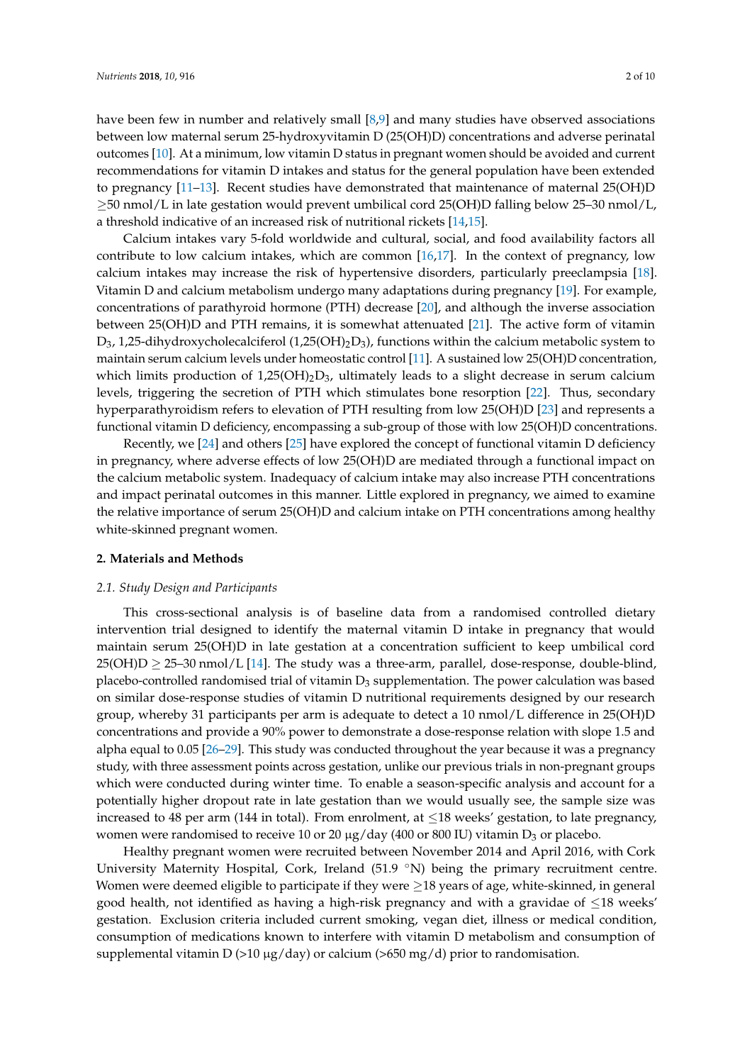have been few in number and relatively small [\[8,](#page-8-3)[9\]](#page-8-4) and many studies have observed associations between low maternal serum 25-hydroxyvitamin D (25(OH)D) concentrations and adverse perinatal outcomes [\[10\]](#page-8-5). At a minimum, low vitamin D status in pregnant women should be avoided and current recommendations for vitamin D intakes and status for the general population have been extended to pregnancy [\[11](#page-8-6)[–13\]](#page-8-7). Recent studies have demonstrated that maintenance of maternal 25(OH)D  $\geq$ 50 nmol/L in late gestation would prevent umbilical cord 25(OH)D falling below 25–30 nmol/L, a threshold indicative of an increased risk of nutritional rickets [\[14,](#page-8-8)[15\]](#page-8-9).

Calcium intakes vary 5-fold worldwide and cultural, social, and food availability factors all contribute to low calcium intakes, which are common [\[16](#page-8-10)[,17\]](#page-8-11). In the context of pregnancy, low calcium intakes may increase the risk of hypertensive disorders, particularly preeclampsia [\[18\]](#page-8-12). Vitamin D and calcium metabolism undergo many adaptations during pregnancy [\[19\]](#page-9-0). For example, concentrations of parathyroid hormone (PTH) decrease [\[20\]](#page-9-1), and although the inverse association between 25(OH)D and PTH remains, it is somewhat attenuated [\[21\]](#page-9-2). The active form of vitamin  $D_3$ , 1,25-dihydroxycholecalciferol (1,25(OH)<sub>2</sub>D<sub>3</sub>), functions within the calcium metabolic system to maintain serum calcium levels under homeostatic control [\[11\]](#page-8-6). A sustained low 25(OH)D concentration, which limits production of  $1,25(OH)_{2}D_{3}$ , ultimately leads to a slight decrease in serum calcium levels, triggering the secretion of PTH which stimulates bone resorption [\[22\]](#page-9-3). Thus, secondary hyperparathyroidism refers to elevation of PTH resulting from low 25(OH)D [\[23\]](#page-9-4) and represents a functional vitamin D deficiency, encompassing a sub-group of those with low 25(OH)D concentrations.

Recently, we [\[24\]](#page-9-5) and others [\[25\]](#page-9-6) have explored the concept of functional vitamin D deficiency in pregnancy, where adverse effects of low 25(OH)D are mediated through a functional impact on the calcium metabolic system. Inadequacy of calcium intake may also increase PTH concentrations and impact perinatal outcomes in this manner. Little explored in pregnancy, we aimed to examine the relative importance of serum 25(OH)D and calcium intake on PTH concentrations among healthy white-skinned pregnant women.

# **2. Materials and Methods**

## *2.1. Study Design and Participants*

This cross-sectional analysis is of baseline data from a randomised controlled dietary intervention trial designed to identify the maternal vitamin D intake in pregnancy that would maintain serum 25(OH)D in late gestation at a concentration sufficient to keep umbilical cord  $25(OH)D \ge 25-30$  nmol/L [\[14\]](#page-8-8). The study was a three-arm, parallel, dose-response, double-blind, placebo-controlled randomised trial of vitamin  $D_3$  supplementation. The power calculation was based on similar dose-response studies of vitamin D nutritional requirements designed by our research group, whereby 31 participants per arm is adequate to detect a 10 nmol/L difference in 25(OH)D concentrations and provide a 90% power to demonstrate a dose-response relation with slope 1.5 and alpha equal to 0.05 [\[26](#page-9-7)[–29\]](#page-9-8). This study was conducted throughout the year because it was a pregnancy study, with three assessment points across gestation, unlike our previous trials in non-pregnant groups which were conducted during winter time. To enable a season-specific analysis and account for a potentially higher dropout rate in late gestation than we would usually see, the sample size was increased to 48 per arm (144 in total). From enrolment, at  $\leq$ 18 weeks' gestation, to late pregnancy, women were randomised to receive 10 or 20  $\mu$ g/day (400 or 800 IU) vitamin D<sub>3</sub> or placebo.

Healthy pregnant women were recruited between November 2014 and April 2016, with Cork University Maternity Hospital, Cork, Ireland (51.9 °N) being the primary recruitment centre. Women were deemed eligible to participate if they were  $\geq$ 18 years of age, white-skinned, in general good health, not identified as having a high-risk pregnancy and with a gravidae of  $\leq$ 18 weeks' gestation. Exclusion criteria included current smoking, vegan diet, illness or medical condition, consumption of medications known to interfere with vitamin D metabolism and consumption of supplemental vitamin D (>10  $\mu$ g/day) or calcium (>650 mg/d) prior to randomisation.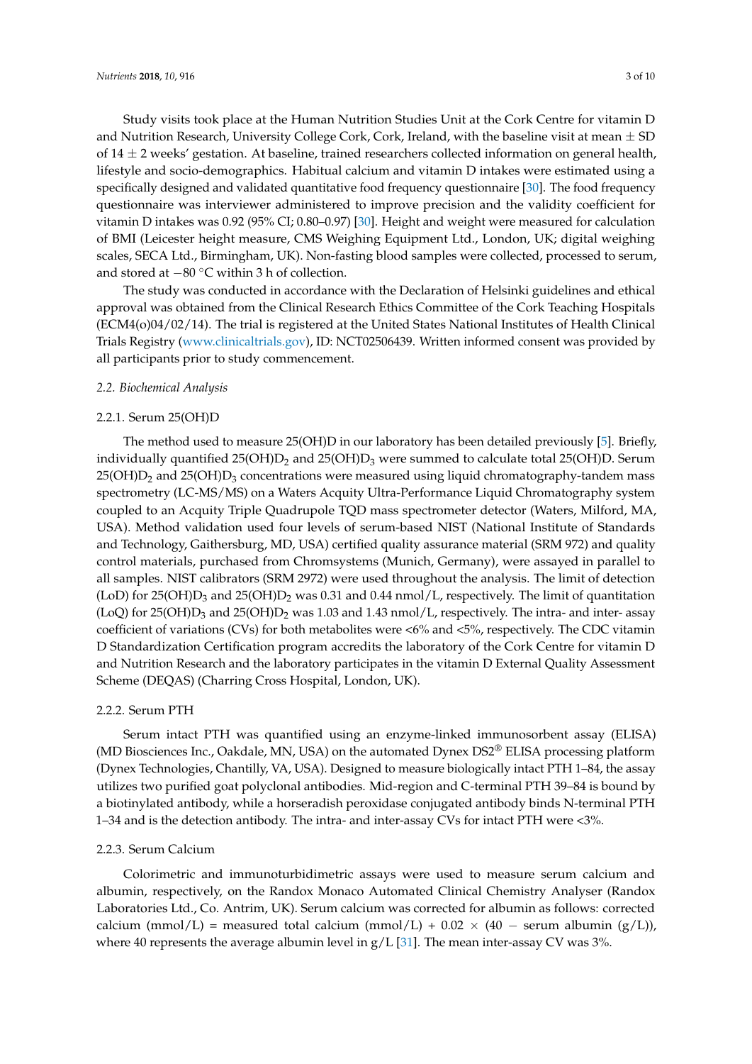Study visits took place at the Human Nutrition Studies Unit at the Cork Centre for vitamin D and Nutrition Research, University College Cork, Cork, Ireland, with the baseline visit at mean  $\pm$  SD of  $14 \pm 2$  weeks' gestation. At baseline, trained researchers collected information on general health, lifestyle and socio-demographics. Habitual calcium and vitamin D intakes were estimated using a specifically designed and validated quantitative food frequency questionnaire [\[30\]](#page-9-9). The food frequency questionnaire was interviewer administered to improve precision and the validity coefficient for vitamin D intakes was 0.92 (95% CI; 0.80–0.97) [\[30\]](#page-9-9). Height and weight were measured for calculation of BMI (Leicester height measure, CMS Weighing Equipment Ltd., London, UK; digital weighing scales, SECA Ltd., Birmingham, UK). Non-fasting blood samples were collected, processed to serum, and stored at −80 ◦C within 3 h of collection.

The study was conducted in accordance with the Declaration of Helsinki guidelines and ethical approval was obtained from the Clinical Research Ethics Committee of the Cork Teaching Hospitals (ECM4(o)04/02/14). The trial is registered at the United States National Institutes of Health Clinical Trials Registry [\(www.clinicaltrials.gov\)](www.clinicaltrials.gov), ID: NCT02506439. Written informed consent was provided by all participants prior to study commencement.

#### *2.2. Biochemical Analysis*

#### 2.2.1. Serum 25(OH)D

The method used to measure 25(OH)D in our laboratory has been detailed previously [\[5\]](#page-8-13). Briefly, individually quantified  $25(OH)D_2$  and  $25(OH)D_3$  were summed to calculate total  $25(OH)D$ . Serum  $25(OH)D<sub>2</sub>$  and  $25(OH)D<sub>3</sub>$  concentrations were measured using liquid chromatography-tandem mass spectrometry (LC-MS/MS) on a Waters Acquity Ultra-Performance Liquid Chromatography system coupled to an Acquity Triple Quadrupole TQD mass spectrometer detector (Waters, Milford, MA, USA). Method validation used four levels of serum-based NIST (National Institute of Standards and Technology, Gaithersburg, MD, USA) certified quality assurance material (SRM 972) and quality control materials, purchased from Chromsystems (Munich, Germany), were assayed in parallel to all samples. NIST calibrators (SRM 2972) were used throughout the analysis. The limit of detection (LoD) for 25(OH) $D_3$  and 25(OH) $D_2$  was 0.31 and 0.44 nmol/L, respectively. The limit of quantitation (LoQ) for 25(OH)D<sub>3</sub> and 25(OH)D<sub>2</sub> was 1.03 and 1.43 nmol/L, respectively. The intra- and inter- assay coefficient of variations (CVs) for both metabolites were <6% and <5%, respectively. The CDC vitamin D Standardization Certification program accredits the laboratory of the Cork Centre for vitamin D and Nutrition Research and the laboratory participates in the vitamin D External Quality Assessment Scheme (DEQAS) (Charring Cross Hospital, London, UK).

# 2.2.2. Serum PTH

Serum intact PTH was quantified using an enzyme-linked immunosorbent assay (ELISA) (MD Biosciences Inc., Oakdale, MN, USA) on the automated Dynex DS2® ELISA processing platform (Dynex Technologies, Chantilly, VA, USA). Designed to measure biologically intact PTH 1–84, the assay utilizes two purified goat polyclonal antibodies. Mid-region and C-terminal PTH 39–84 is bound by a biotinylated antibody, while a horseradish peroxidase conjugated antibody binds N-terminal PTH 1–34 and is the detection antibody. The intra- and inter-assay CVs for intact PTH were <3%.

### 2.2.3. Serum Calcium

Colorimetric and immunoturbidimetric assays were used to measure serum calcium and albumin, respectively, on the Randox Monaco Automated Clinical Chemistry Analyser (Randox Laboratories Ltd., Co. Antrim, UK). Serum calcium was corrected for albumin as follows: corrected calcium (mmol/L) = measured total calcium (mmol/L) +  $0.02 \times (40 - \text{serum albumin } (g/L))$ , where 40 represents the average albumin level in  $g/L$  [\[31\]](#page-9-10). The mean inter-assay CV was 3%.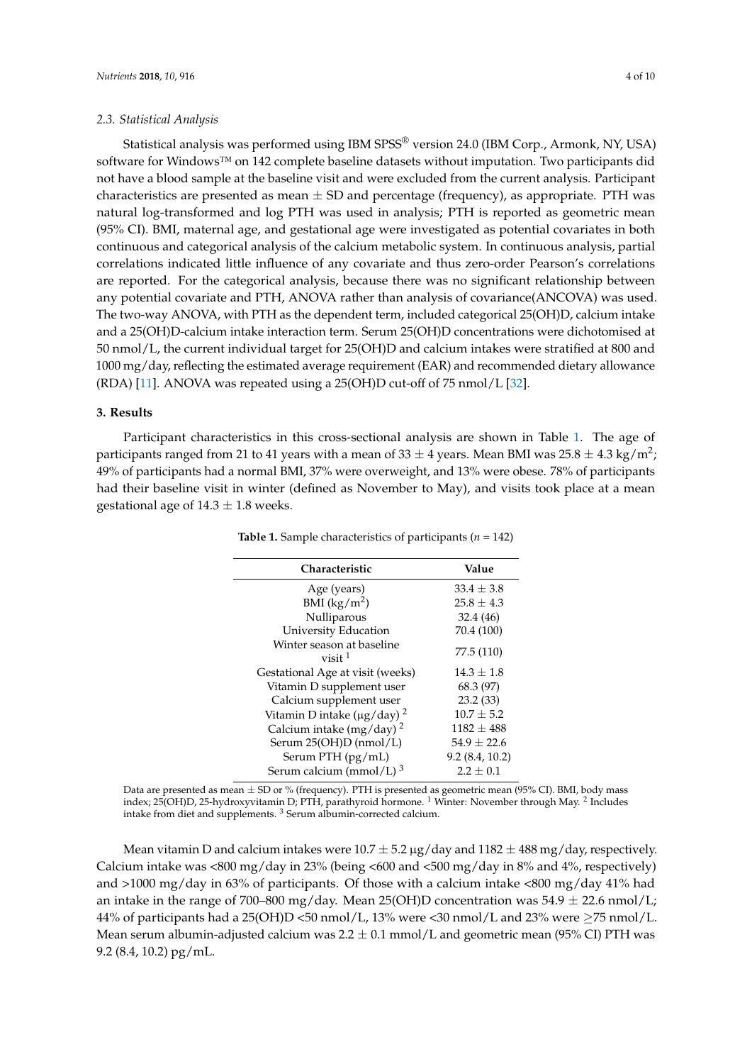#### *2.3. Statistical Analysis*

Statistical analysis was performed using IBM SPSS<sup>®</sup> version 24.0 (IBM Corp., Armonk, NY, USA) software for Windows™ on 142 complete baseline datasets without imputation. Two participants did not have a blood sample at the baseline visit and were excluded from the current analysis. Participant characteristics are presented as mean  $\pm$  SD and percentage (frequency), as appropriate. PTH was natural log-transformed and log PTH was used in analysis; PTH is reported as geometric mean (95% CI). BMI, maternal age, and gestational age were investigated as potential covariates in both continuous and categorical analysis of the calcium metabolic system. In continuous analysis, partial correlations indicated little influence of any covariate and thus zero-order Pearson's correlations are reported. For the categorical analysis, because there was no significant relationship between any potential covariate and PTH, ANOVA rather than analysis of covariance(ANCOVA) was used. The two-way ANOVA, with PTH as the dependent term, included categorical 25(OH)D, calcium intake and a 25(OH)D-calcium intake interaction term. Serum 25(OH)D concentrations were dichotomised at 50 nmol/L, the current individual target for 25(OH)D and calcium intakes were stratified at 800 and 1000 mg/day, reflecting the estimated average requirement (EAR) and recommended dietary allowance (RDA) [\[11\]](#page-8-6). ANOVA was repeated using a 25(OH)D cut-off of 75 nmol/L [\[32\]](#page-9-11).

# **3. Results**

<span id="page-4-0"></span>Participant characteristics in this cross-sectional analysis are shown in Table [1.](#page-4-0) The age of participants ranged from 21 to 41 years with a mean of 33  $\pm$  4 years. Mean BMI was 25.8  $\pm$  4.3 kg/m<sup>2</sup>; 49% of participants had a normal BMI, 37% were overweight, and 13% were obese. 78% of participants had their baseline visit in winter (defined as November to May), and visits took place at a mean gestational age of  $14.3 \pm 1.8$  weeks.

| <b>Characteristic</b>                              | Value           |
|----------------------------------------------------|-----------------|
| Age (years)                                        | $33.4 \pm 3.8$  |
| BMI $(kg/m^2)$                                     | $25.8 + 4.3$    |
| Nulliparous                                        | 32.4 (46)       |
| University Education                               | 70.4 (100)      |
| Winter season at baseline<br>$vis$ it <sup>1</sup> | 77.5 (110)      |
| Gestational Age at visit (weeks)                   | $14.3 \pm 1.8$  |
| Vitamin D supplement user                          | 68.3 (97)       |
| Calcium supplement user                            | 23.2(33)        |
| Vitamin D intake ( $\mu$ g/day) <sup>2</sup>       | $10.7 \pm 5.2$  |
| Calcium intake (mg/day) <sup>2</sup>               | $1182 \pm 488$  |
| Serum 25(OH)D (nmol/L)                             | $54.9 \pm 22.6$ |
| Serum PTH (pg/mL)                                  | 9.2(8.4, 10.2)  |
| Serum calcium (mmol/L) <sup>3</sup>                | $2.2 + 0.1$     |
|                                                    |                 |

**Table 1.** Sample characteristics of participants (*n* = 142)

Data are presented as mean ± SD or % (frequency). PTH is presented as geometric mean (95% CI). BMI, body mass index; 25(OH)D, 25-hydroxyvitamin D; PTH, parathyroid hormone.  $^1$  Winter: November through May.  $^2$  Includes intake from diet and supplements. <sup>3</sup> Serum albumin-corrected calcium.

Mean vitamin D and calcium intakes were  $10.7 \pm 5.2 \mu g/day$  and  $1182 \pm 488 \mu g/day$ , respectively. Calcium intake was <800 mg/day in 23% (being <600 and <500 mg/day in 8% and 4%, respectively) and >1000 mg/day in 63% of participants. Of those with a calcium intake <800 mg/day 41% had an intake in the range of 700–800 mg/day. Mean 25(OH)D concentration was  $54.9 \pm 22.6$  nmol/L; 44% of participants had a 25(OH)D <50 nmol/L, 13% were <30 nmol/L and 23% were  $\geq$ 75 nmol/L. Mean serum albumin-adjusted calcium was  $2.2 \pm 0.1$  mmol/L and geometric mean (95% CI) PTH was 9.2 (8.4, 10.2) pg/mL.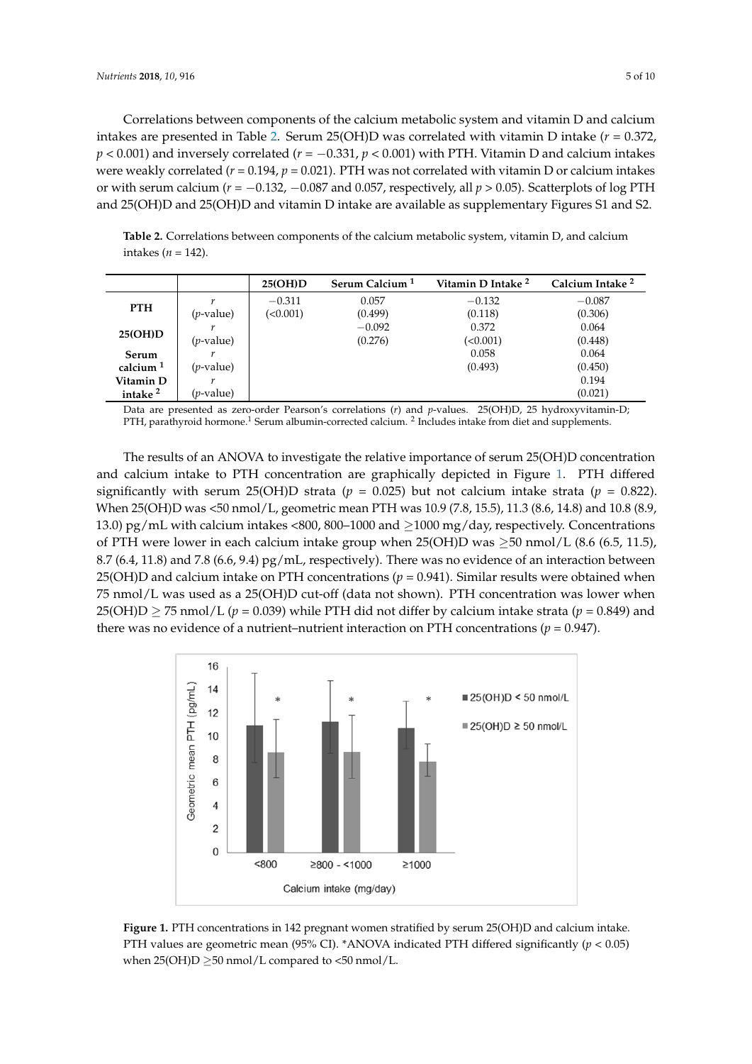Correlations between components of the calcium metabolic system and vitamin D and calcium intakes are presented in Table 2. Serum 25(OH)D was correlated with vitamin D intake ( $r = 0.372$ ,  $p < 0.001$ ) and inversely correlated ( $r = -0.331$ ,  $p < 0.001$ ) with PTH. Vitamin D and calcium intakes were weakly correlated ( $r$  = 0.194,  $p$  = 0.021). PTH was not correlated with vitamin D or calcium intakes or with serum calcium ( $r = -0.132$ ,  $-0.087$  and 0.057, respectively, all  $p > 0.05$ ). Scatterplots of log PTH and 25(OH)D and 25(OH)D and vitamin D intake are available as supplementary Figures S1 and S2. Correlations bet and 25(OH)D and 25(OH)D and 25(OH)D and vitamin D interview  $\frac{1}{2}$ 

<span id="page-5-0"></span>**Table 2.** Correlations between components of the calcium metabolic system, vitamin D, and calcium **Table 2.** Correlations between components of the calcium metabolic system, vitamin D, and calcium intakes (*n* = 142). intakes (*n* = 142).

|                      |                    | 25(OH)D  | Serum Calcium <sup>1</sup> | Vitamin D Intake <sup>2</sup> | Calcium Intake <sup>2</sup> |
|----------------------|--------------------|----------|----------------------------|-------------------------------|-----------------------------|
| <b>PTH</b>           | r                  | $-0.311$ | 0.057                      | $-0.132$                      | $-0.087$                    |
|                      | $(p$ -value)       | (<0.001) | (0.499)                    | (0.118)                       | (0.306)                     |
| 25(OH)D              |                    |          | $-0.092$                   | 0.372                         | 0.064                       |
|                      | $(p$ -value)       |          | (0.276)                    | (<0.001)                      | (0.448)                     |
| <b>Serum</b>         |                    |          |                            | 0.058                         | 0.064                       |
| calcium <sup>1</sup> | $(p$ -value)       |          |                            | (0.493)                       | (0.450)                     |
| Vitamin D            |                    |          |                            |                               | 0.194                       |
| intake <sup>2</sup>  | ( <i>p</i> -value) |          |                            |                               | (0.021)                     |

Data are presented as zero-order Pearson's correlations (*r*) and *p*-values. 25(OH)D, 25 hydroxyvitamin-D; PTH, parathyroid hormone.<sup>1</sup> Serum albumin-corrected calcium. <sup>2</sup> Includes intake from diet and supplements.

The results of an ANOVA to investigate the relative importance of serum 25(OH)D concentration and calcium intake to PTH concentration are graphically depicted in Figure [1.](#page-5-1) PTH differed significantly with serum 25(OH)D strata ( $p = 0.025$ ) but not calcium intake strata ( $p = 0.822$ ). When 25(OH)D was <50 nmol/L, geometric mean PTH was 10.9 (7.8, 15.5), 11.3 (8.6, 14.8) and 10.8 (8.9, 13.0) pg/mL with calcium intakes <800, 800–1000 and  $\geq$ 1000 mg/day, respectively. Concentrations of PTH were lower in each calcium intake group when  $25(OH)D$  was  $\geq 50$  nmol/L (8.6 (6.5, 11.5), 8.7 (6.4, 11.8) and 7.8 (6.6, 9.4)  $pg/mL$ , respectively). There was no evidence of an interaction between 25(OH)D and calcium intake on PTH concentrations ( $p = 0.941$ ). Similar results were obtained when 75 nmol/L was used as a 25(OH)D cut-off (data not shown). PTH concentration was lower when  $25(OH)D \geq 75 \text{ nmol/L}$  ( $p = 0.039$ ) while PTH did not differ by calcium intake strata ( $p = 0.849$ ) and there was no evidence of a nutrient–nutrient interaction on PTH concentrations ( $p = 0.947$ ). was no evidence of a nutrient–nutrient interaction on PTH concentrations  $(p - 0.97)$ 

<span id="page-5-1"></span>

**Figure 1.** PTH concentrations in 142 pregnant women stratified by serum 25(OH)D and calcium intake. PTH values are geometric mean (95% CI). \*ANOVA indicated PTH differed significantly (*p* < 0.05) when  $25(OH)D \ge 50$  nmol/L compared to <50 nmol/L.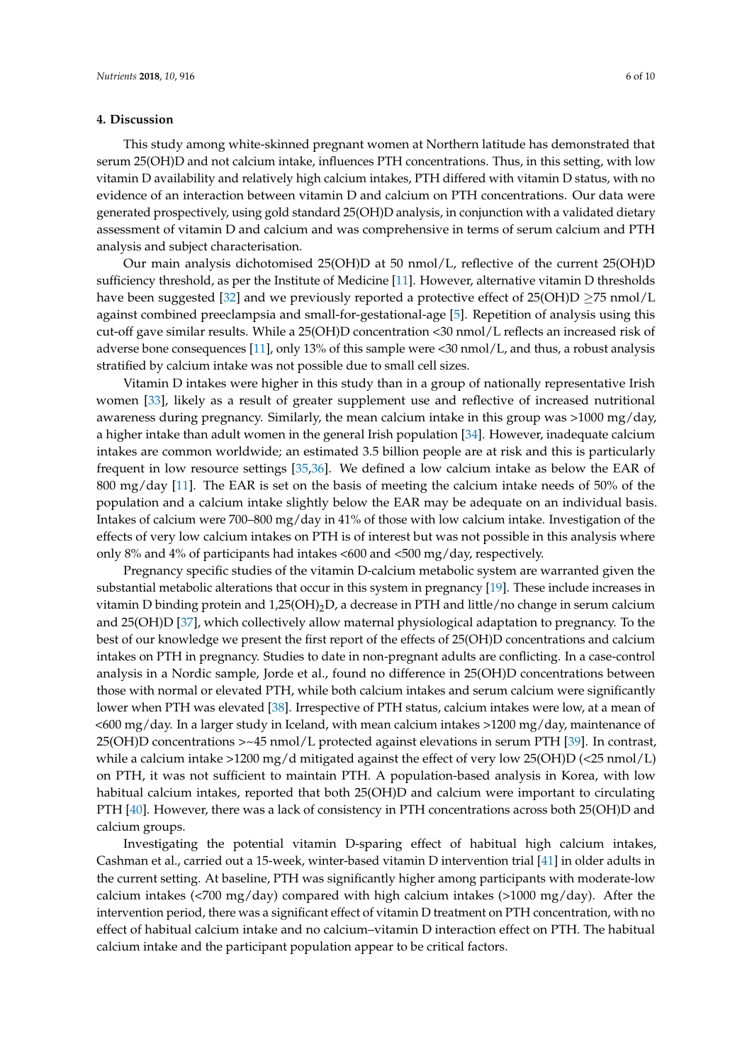# **4. Discussion**

This study among white-skinned pregnant women at Northern latitude has demonstrated that serum 25(OH)D and not calcium intake, influences PTH concentrations. Thus, in this setting, with low vitamin D availability and relatively high calcium intakes, PTH differed with vitamin D status, with no evidence of an interaction between vitamin D and calcium on PTH concentrations. Our data were generated prospectively, using gold standard 25(OH)D analysis, in conjunction with a validated dietary assessment of vitamin D and calcium and was comprehensive in terms of serum calcium and PTH analysis and subject characterisation.

Our main analysis dichotomised 25(OH)D at 50 nmol/L, reflective of the current 25(OH)D sufficiency threshold, as per the Institute of Medicine [\[11\]](#page-8-6). However, alternative vitamin D thresholds have been suggested [\[32\]](#page-9-11) and we previously reported a protective effect of  $25(OH)D \ge 75$  nmol/L against combined preeclampsia and small-for-gestational-age [\[5\]](#page-8-13). Repetition of analysis using this cut-off gave similar results. While a 25(OH)D concentration <30 nmol/L reflects an increased risk of adverse bone consequences [\[11\]](#page-8-6), only 13% of this sample were <30 nmol/L, and thus, a robust analysis stratified by calcium intake was not possible due to small cell sizes.

Vitamin D intakes were higher in this study than in a group of nationally representative Irish women [\[33\]](#page-9-12), likely as a result of greater supplement use and reflective of increased nutritional awareness during pregnancy. Similarly, the mean calcium intake in this group was >1000 mg/day, a higher intake than adult women in the general Irish population [\[34\]](#page-9-13). However, inadequate calcium intakes are common worldwide; an estimated 3.5 billion people are at risk and this is particularly frequent in low resource settings [\[35,](#page-9-14)[36\]](#page-9-15). We defined a low calcium intake as below the EAR of 800 mg/day [\[11\]](#page-8-6). The EAR is set on the basis of meeting the calcium intake needs of 50% of the population and a calcium intake slightly below the EAR may be adequate on an individual basis. Intakes of calcium were 700–800 mg/day in 41% of those with low calcium intake. Investigation of the effects of very low calcium intakes on PTH is of interest but was not possible in this analysis where only 8% and 4% of participants had intakes <600 and <500 mg/day, respectively.

Pregnancy specific studies of the vitamin D-calcium metabolic system are warranted given the substantial metabolic alterations that occur in this system in pregnancy [\[19\]](#page-9-0). These include increases in vitamin D binding protein and  $1,25(OH)<sub>2</sub>D$ , a decrease in PTH and little/no change in serum calcium and 25(OH)D [\[37\]](#page-9-16), which collectively allow maternal physiological adaptation to pregnancy. To the best of our knowledge we present the first report of the effects of 25(OH)D concentrations and calcium intakes on PTH in pregnancy. Studies to date in non-pregnant adults are conflicting. In a case-control analysis in a Nordic sample, Jorde et al., found no difference in 25(OH)D concentrations between those with normal or elevated PTH, while both calcium intakes and serum calcium were significantly lower when PTH was elevated [\[38\]](#page-10-0). Irrespective of PTH status, calcium intakes were low, at a mean of <600 mg/day. In a larger study in Iceland, with mean calcium intakes >1200 mg/day, maintenance of 25(OH)D concentrations >~45 nmol/L protected against elevations in serum PTH [\[39\]](#page-10-1). In contrast, while a calcium intake >1200 mg/d mitigated against the effect of very low 25(OH)D (<25 nmol/L) on PTH, it was not sufficient to maintain PTH. A population-based analysis in Korea, with low habitual calcium intakes, reported that both 25(OH)D and calcium were important to circulating PTH [\[40\]](#page-10-2). However, there was a lack of consistency in PTH concentrations across both 25(OH)D and calcium groups.

Investigating the potential vitamin D-sparing effect of habitual high calcium intakes, Cashman et al., carried out a 15-week, winter-based vitamin D intervention trial [\[41\]](#page-10-3) in older adults in the current setting. At baseline, PTH was significantly higher among participants with moderate-low calcium intakes (<700 mg/day) compared with high calcium intakes (>1000 mg/day). After the intervention period, there was a significant effect of vitamin D treatment on PTH concentration, with no effect of habitual calcium intake and no calcium–vitamin D interaction effect on PTH. The habitual calcium intake and the participant population appear to be critical factors.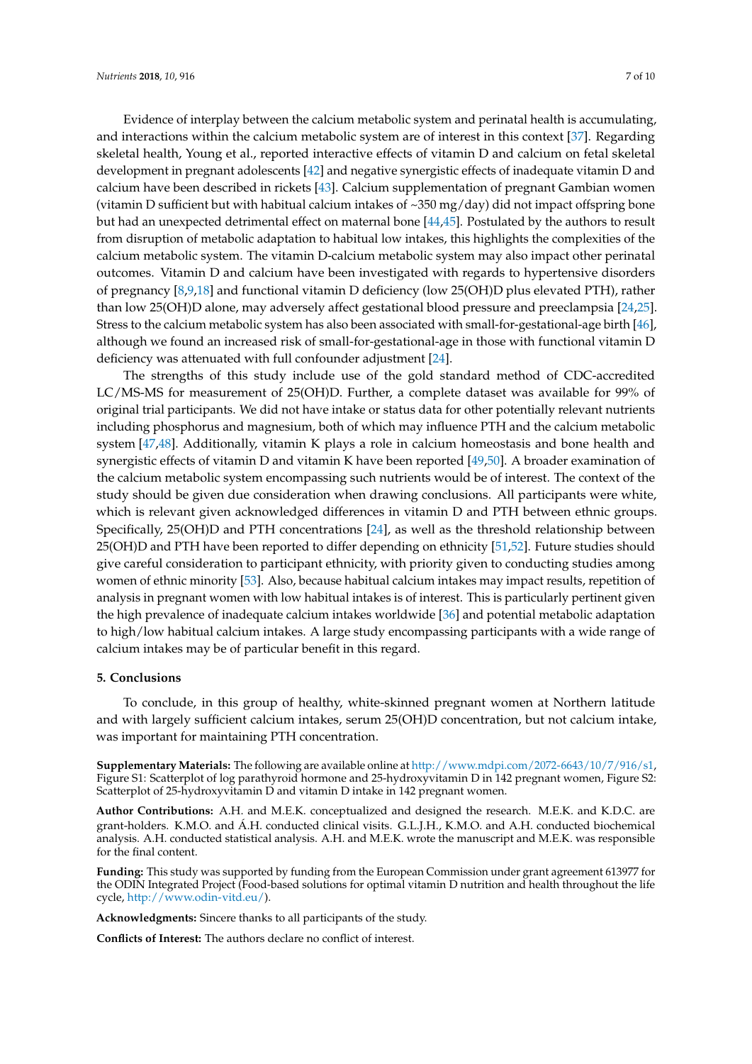Evidence of interplay between the calcium metabolic system and perinatal health is accumulating, and interactions within the calcium metabolic system are of interest in this context [\[37\]](#page-9-16). Regarding skeletal health, Young et al., reported interactive effects of vitamin D and calcium on fetal skeletal development in pregnant adolescents [\[42\]](#page-10-4) and negative synergistic effects of inadequate vitamin D and calcium have been described in rickets [\[43\]](#page-10-5). Calcium supplementation of pregnant Gambian women (vitamin D sufficient but with habitual calcium intakes of  $\sim$ 350 mg/day) did not impact offspring bone but had an unexpected detrimental effect on maternal bone [\[44,](#page-10-6)[45\]](#page-10-7). Postulated by the authors to result from disruption of metabolic adaptation to habitual low intakes, this highlights the complexities of the calcium metabolic system. The vitamin D-calcium metabolic system may also impact other perinatal outcomes. Vitamin D and calcium have been investigated with regards to hypertensive disorders of pregnancy [\[8](#page-8-3)[,9](#page-8-4)[,18\]](#page-8-12) and functional vitamin D deficiency (low 25(OH)D plus elevated PTH), rather than low 25(OH)D alone, may adversely affect gestational blood pressure and preeclampsia [\[24,](#page-9-5)[25\]](#page-9-6). Stress to the calcium metabolic system has also been associated with small-for-gestational-age birth [\[46\]](#page-10-8), although we found an increased risk of small-for-gestational-age in those with functional vitamin D deficiency was attenuated with full confounder adjustment [\[24\]](#page-9-5).

The strengths of this study include use of the gold standard method of CDC-accredited LC/MS-MS for measurement of 25(OH)D. Further, a complete dataset was available for 99% of original trial participants. We did not have intake or status data for other potentially relevant nutrients including phosphorus and magnesium, both of which may influence PTH and the calcium metabolic system [\[47,](#page-10-9)[48\]](#page-10-10). Additionally, vitamin K plays a role in calcium homeostasis and bone health and synergistic effects of vitamin D and vitamin K have been reported [\[49](#page-10-11)[,50\]](#page-10-12). A broader examination of the calcium metabolic system encompassing such nutrients would be of interest. The context of the study should be given due consideration when drawing conclusions. All participants were white, which is relevant given acknowledged differences in vitamin D and PTH between ethnic groups. Specifically, 25(OH)D and PTH concentrations [\[24\]](#page-9-5), as well as the threshold relationship between 25(OH)D and PTH have been reported to differ depending on ethnicity [\[51,](#page-10-13)[52\]](#page-10-14). Future studies should give careful consideration to participant ethnicity, with priority given to conducting studies among women of ethnic minority [\[53\]](#page-10-15). Also, because habitual calcium intakes may impact results, repetition of analysis in pregnant women with low habitual intakes is of interest. This is particularly pertinent given the high prevalence of inadequate calcium intakes worldwide [\[36\]](#page-9-15) and potential metabolic adaptation to high/low habitual calcium intakes. A large study encompassing participants with a wide range of calcium intakes may be of particular benefit in this regard.

## **5. Conclusions**

To conclude, in this group of healthy, white-skinned pregnant women at Northern latitude and with largely sufficient calcium intakes, serum 25(OH)D concentration, but not calcium intake, was important for maintaining PTH concentration.

**Supplementary Materials:** The following are available online at [http://www.mdpi.com/2072-6643/10/7/916/s1,](http://www.mdpi.com/2072-6643/10/7/916/s1) Figure S1: Scatterplot of log parathyroid hormone and 25-hydroxyvitamin D in 142 pregnant women, Figure S2: Scatterplot of 25-hydroxyvitamin D and vitamin D intake in 142 pregnant women.

**Author Contributions:** A.H. and M.E.K. conceptualized and designed the research. M.E.K. and K.D.C. are grant-holders. K.M.O. and Á.H. conducted clinical visits. G.L.J.H., K.M.O. and A.H. conducted biochemical analysis. A.H. conducted statistical analysis. A.H. and M.E.K. wrote the manuscript and M.E.K. was responsible for the final content.

**Funding:** This study was supported by funding from the European Commission under grant agreement 613977 for the ODIN Integrated Project (Food-based solutions for optimal vitamin D nutrition and health throughout the life cycle, [http://www.odin-vitd.eu/\)](http://www.odin-vitd.eu/).

**Acknowledgments:** Sincere thanks to all participants of the study.

**Conflicts of Interest:** The authors declare no conflict of interest.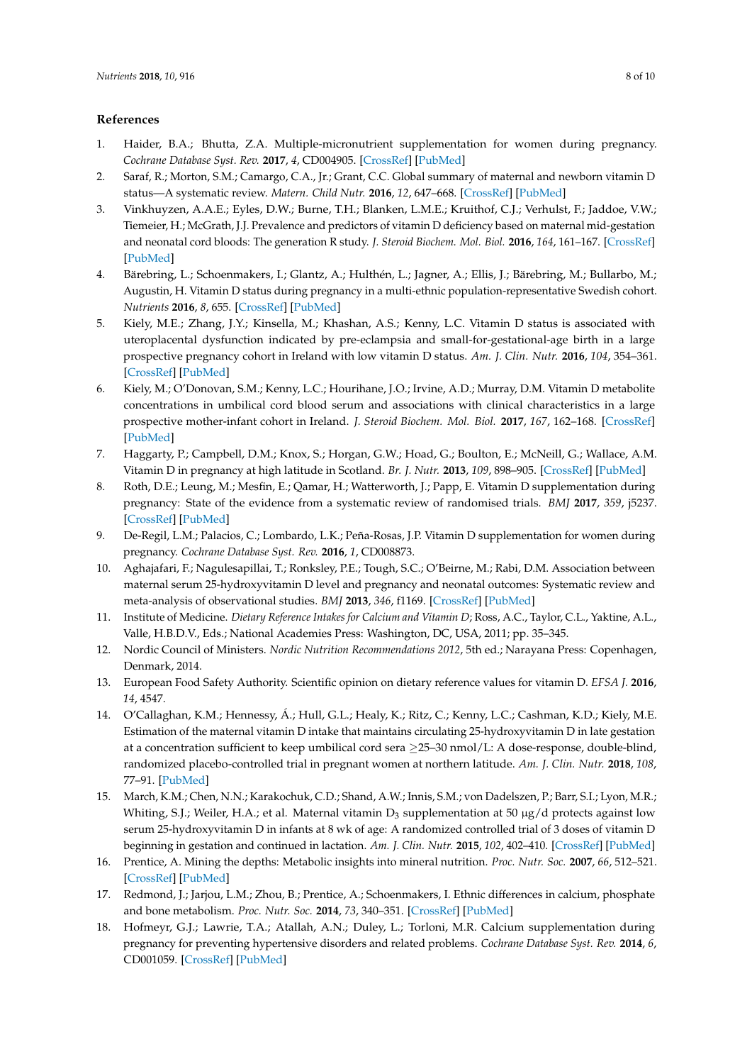# **References**

- <span id="page-8-0"></span>1. Haider, B.A.; Bhutta, Z.A. Multiple-micronutrient supplementation for women during pregnancy. *Cochrane Database Syst. Rev.* **2017**, *4*, CD004905. [\[CrossRef\]](http://dx.doi.org/10.1002/14651858.CD004905.pub5) [\[PubMed\]](http://www.ncbi.nlm.nih.gov/pubmed/28407219)
- <span id="page-8-1"></span>2. Saraf, R.; Morton, S.M.; Camargo, C.A., Jr.; Grant, C.C. Global summary of maternal and newborn vitamin D status—A systematic review. *Matern. Child Nutr.* **2016**, *12*, 647–668. [\[CrossRef\]](http://dx.doi.org/10.1111/mcn.12210) [\[PubMed\]](http://www.ncbi.nlm.nih.gov/pubmed/26373311)
- 3. Vinkhuyzen, A.A.E.; Eyles, D.W.; Burne, T.H.; Blanken, L.M.E.; Kruithof, C.J.; Verhulst, F.; Jaddoe, V.W.; Tiemeier, H.; McGrath, J.J. Prevalence and predictors of vitamin D deficiency based on maternal mid-gestation and neonatal cord bloods: The generation R study. *J. Steroid Biochem. Mol. Biol.* **2016**, *164*, 161–167. [\[CrossRef\]](http://dx.doi.org/10.1016/j.jsbmb.2015.09.018) [\[PubMed\]](http://www.ncbi.nlm.nih.gov/pubmed/26385604)
- 4. Bärebring, L.; Schoenmakers, I.; Glantz, A.; Hulthén, L.; Jagner, A.; Ellis, J.; Bärebring, M.; Bullarbo, M.; Augustin, H. Vitamin D status during pregnancy in a multi-ethnic population-representative Swedish cohort. *Nutrients* **2016**, *8*, 655. [\[CrossRef\]](http://dx.doi.org/10.3390/nu8100655) [\[PubMed\]](http://www.ncbi.nlm.nih.gov/pubmed/27782070)
- <span id="page-8-13"></span>5. Kiely, M.E.; Zhang, J.Y.; Kinsella, M.; Khashan, A.S.; Kenny, L.C. Vitamin D status is associated with uteroplacental dysfunction indicated by pre-eclampsia and small-for-gestational-age birth in a large prospective pregnancy cohort in Ireland with low vitamin D status. *Am. J. Clin. Nutr.* **2016**, *104*, 354–361. [\[CrossRef\]](http://dx.doi.org/10.3945/ajcn.116.130419) [\[PubMed\]](http://www.ncbi.nlm.nih.gov/pubmed/27357092)
- 6. Kiely, M.; O'Donovan, S.M.; Kenny, L.C.; Hourihane, J.O.; Irvine, A.D.; Murray, D.M. Vitamin D metabolite concentrations in umbilical cord blood serum and associations with clinical characteristics in a large prospective mother-infant cohort in Ireland. *J. Steroid Biochem. Mol. Biol.* **2017**, *167*, 162–168. [\[CrossRef\]](http://dx.doi.org/10.1016/j.jsbmb.2016.12.006) [\[PubMed\]](http://www.ncbi.nlm.nih.gov/pubmed/28007533)
- <span id="page-8-2"></span>7. Haggarty, P.; Campbell, D.M.; Knox, S.; Horgan, G.W.; Hoad, G.; Boulton, E.; McNeill, G.; Wallace, A.M. Vitamin D in pregnancy at high latitude in Scotland. *Br. J. Nutr.* **2013**, *109*, 898–905. [\[CrossRef\]](http://dx.doi.org/10.1017/S0007114512002255) [\[PubMed\]](http://www.ncbi.nlm.nih.gov/pubmed/23168244)
- <span id="page-8-3"></span>8. Roth, D.E.; Leung, M.; Mesfin, E.; Qamar, H.; Watterworth, J.; Papp, E. Vitamin D supplementation during pregnancy: State of the evidence from a systematic review of randomised trials. *BMJ* **2017**, *359*, j5237. [\[CrossRef\]](http://dx.doi.org/10.1136/bmj.j5237) [\[PubMed\]](http://www.ncbi.nlm.nih.gov/pubmed/29187358)
- <span id="page-8-4"></span>9. De-Regil, L.M.; Palacios, C.; Lombardo, L.K.; Peña-Rosas, J.P. Vitamin D supplementation for women during pregnancy. *Cochrane Database Syst. Rev.* **2016**, *1*, CD008873.
- <span id="page-8-5"></span>10. Aghajafari, F.; Nagulesapillai, T.; Ronksley, P.E.; Tough, S.C.; O'Beirne, M.; Rabi, D.M. Association between maternal serum 25-hydroxyvitamin D level and pregnancy and neonatal outcomes: Systematic review and meta-analysis of observational studies. *BMJ* **2013**, *346*, f1169. [\[CrossRef\]](http://dx.doi.org/10.1136/bmj.f1169) [\[PubMed\]](http://www.ncbi.nlm.nih.gov/pubmed/23533188)
- <span id="page-8-6"></span>11. Institute of Medicine. *Dietary Reference Intakes for Calcium and Vitamin D*; Ross, A.C., Taylor, C.L., Yaktine, A.L., Valle, H.B.D.V., Eds.; National Academies Press: Washington, DC, USA, 2011; pp. 35–345.
- 12. Nordic Council of Ministers. *Nordic Nutrition Recommendations 2012*, 5th ed.; Narayana Press: Copenhagen, Denmark, 2014.
- <span id="page-8-7"></span>13. European Food Safety Authority. Scientific opinion on dietary reference values for vitamin D. *EFSA J.* **2016**, *14*, 4547.
- <span id="page-8-8"></span>14. O'Callaghan, K.M.; Hennessy, Á.; Hull, G.L.; Healy, K.; Ritz, C.; Kenny, L.C.; Cashman, K.D.; Kiely, M.E. Estimation of the maternal vitamin D intake that maintains circulating 25-hydroxyvitamin D in late gestation at a concentration sufficient to keep umbilical cord sera ≥25–30 nmol/L: A dose-response, double-blind, randomized placebo-controlled trial in pregnant women at northern latitude. *Am. J. Clin. Nutr.* **2018**, *108*, 77–91. [\[PubMed\]](http://www.ncbi.nlm.nih.gov/pubmed/29878035)
- <span id="page-8-9"></span>15. March, K.M.; Chen, N.N.; Karakochuk, C.D.; Shand, A.W.; Innis, S.M.; von Dadelszen, P.; Barr, S.I.; Lyon, M.R.; Whiting, S.J.; Weiler, H.A.; et al. Maternal vitamin  $D_3$  supplementation at 50 µg/d protects against low serum 25-hydroxyvitamin D in infants at 8 wk of age: A randomized controlled trial of 3 doses of vitamin D beginning in gestation and continued in lactation. *Am. J. Clin. Nutr.* **2015**, *102*, 402–410. [\[CrossRef\]](http://dx.doi.org/10.3945/ajcn.114.106385) [\[PubMed\]](http://www.ncbi.nlm.nih.gov/pubmed/26156737)
- <span id="page-8-10"></span>16. Prentice, A. Mining the depths: Metabolic insights into mineral nutrition. *Proc. Nutr. Soc.* **2007**, *66*, 512–521. [\[CrossRef\]](http://dx.doi.org/10.1017/S0029665107005836) [\[PubMed\]](http://www.ncbi.nlm.nih.gov/pubmed/17961272)
- <span id="page-8-11"></span>17. Redmond, J.; Jarjou, L.M.; Zhou, B.; Prentice, A.; Schoenmakers, I. Ethnic differences in calcium, phosphate and bone metabolism. *Proc. Nutr. Soc.* **2014**, *73*, 340–351. [\[CrossRef\]](http://dx.doi.org/10.1017/S0029665114000068) [\[PubMed\]](http://www.ncbi.nlm.nih.gov/pubmed/24621477)
- <span id="page-8-12"></span>18. Hofmeyr, G.J.; Lawrie, T.A.; Atallah, A.N.; Duley, L.; Torloni, M.R. Calcium supplementation during pregnancy for preventing hypertensive disorders and related problems. *Cochrane Database Syst. Rev.* **2014**, *6*, CD001059. [\[CrossRef\]](http://dx.doi.org/10.1002/14651858.CD001059.pub4) [\[PubMed\]](http://www.ncbi.nlm.nih.gov/pubmed/24960615)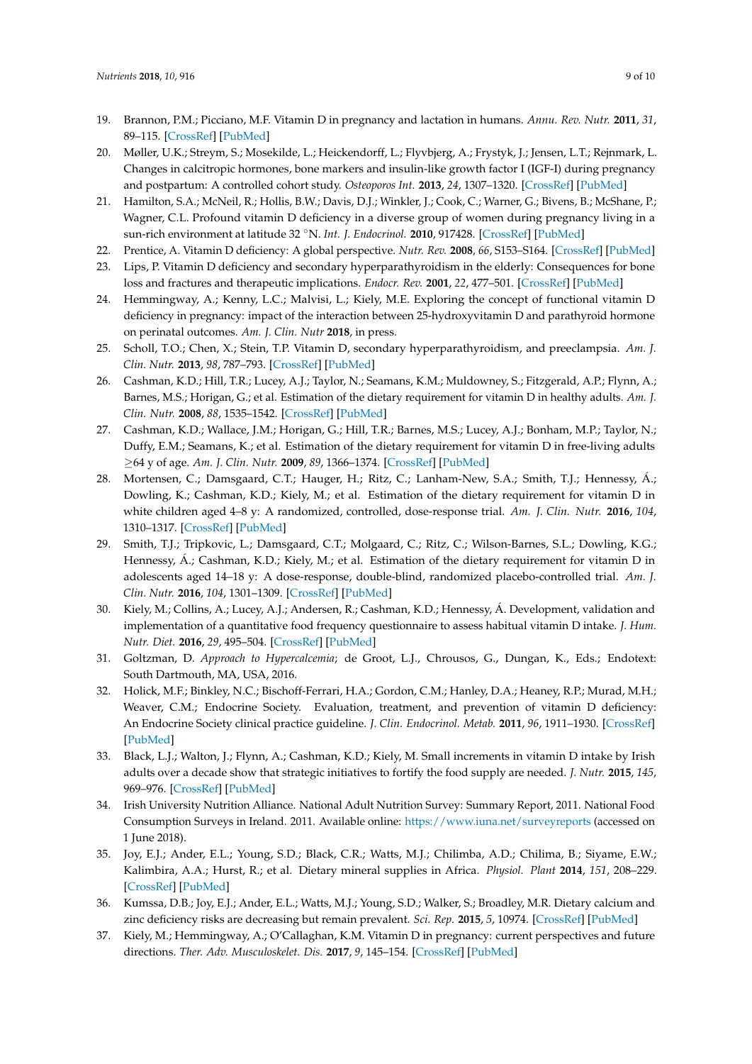- <span id="page-9-0"></span>19. Brannon, P.M.; Picciano, M.F. Vitamin D in pregnancy and lactation in humans. *Annu. Rev. Nutr.* **2011**, *31*, 89–115. [\[CrossRef\]](http://dx.doi.org/10.1146/annurev.nutr.012809.104807) [\[PubMed\]](http://www.ncbi.nlm.nih.gov/pubmed/21756132)
- <span id="page-9-1"></span>20. Møller, U.K.; Streym, S.; Mosekilde, L.; Heickendorff, L.; Flyvbjerg, A.; Frystyk, J.; Jensen, L.T.; Rejnmark, L. Changes in calcitropic hormones, bone markers and insulin-like growth factor I (IGF-I) during pregnancy and postpartum: A controlled cohort study. *Osteoporos Int.* **2013**, *24*, 1307–1320. [\[CrossRef\]](http://dx.doi.org/10.1007/s00198-012-2062-2) [\[PubMed\]](http://www.ncbi.nlm.nih.gov/pubmed/22855199)
- <span id="page-9-2"></span>21. Hamilton, S.A.; McNeil, R.; Hollis, B.W.; Davis, D.J.; Winkler, J.; Cook, C.; Warner, G.; Bivens, B.; McShane, P.; Wagner, C.L. Profound vitamin D deficiency in a diverse group of women during pregnancy living in a sun-rich environment at latitude 32 ◦N. *Int. J. Endocrinol.* **2010**, 917428. [\[CrossRef\]](http://dx.doi.org/10.1155/2010/917428) [\[PubMed\]](http://www.ncbi.nlm.nih.gov/pubmed/21197089)
- <span id="page-9-3"></span>22. Prentice, A. Vitamin D deficiency: A global perspective. *Nutr. Rev.* **2008**, *66*, S153–S164. [\[CrossRef\]](http://dx.doi.org/10.1111/j.1753-4887.2008.00100.x) [\[PubMed\]](http://www.ncbi.nlm.nih.gov/pubmed/18844843)
- <span id="page-9-4"></span>23. Lips, P. Vitamin D deficiency and secondary hyperparathyroidism in the elderly: Consequences for bone loss and fractures and therapeutic implications. *Endocr. Rev.* **2001**, *22*, 477–501. [\[CrossRef\]](http://dx.doi.org/10.1210/edrv.22.4.0437) [\[PubMed\]](http://www.ncbi.nlm.nih.gov/pubmed/11493580)
- <span id="page-9-5"></span>24. Hemmingway, A.; Kenny, L.C.; Malvisi, L.; Kiely, M.E. Exploring the concept of functional vitamin D deficiency in pregnancy: impact of the interaction between 25-hydroxyvitamin D and parathyroid hormone on perinatal outcomes. *Am. J. Clin. Nutr* **2018**, in press.
- <span id="page-9-6"></span>25. Scholl, T.O.; Chen, X.; Stein, T.P. Vitamin D, secondary hyperparathyroidism, and preeclampsia. *Am. J. Clin. Nutr.* **2013**, *98*, 787–793. [\[CrossRef\]](http://dx.doi.org/10.3945/ajcn.112.055871) [\[PubMed\]](http://www.ncbi.nlm.nih.gov/pubmed/23885046)
- <span id="page-9-7"></span>26. Cashman, K.D.; Hill, T.R.; Lucey, A.J.; Taylor, N.; Seamans, K.M.; Muldowney, S.; Fitzgerald, A.P.; Flynn, A.; Barnes, M.S.; Horigan, G.; et al. Estimation of the dietary requirement for vitamin D in healthy adults. *Am. J. Clin. Nutr.* **2008**, *88*, 1535–1542. [\[CrossRef\]](http://dx.doi.org/10.3945/ajcn.2008.26594) [\[PubMed\]](http://www.ncbi.nlm.nih.gov/pubmed/19064513)
- 27. Cashman, K.D.; Wallace, J.M.; Horigan, G.; Hill, T.R.; Barnes, M.S.; Lucey, A.J.; Bonham, M.P.; Taylor, N.; Duffy, E.M.; Seamans, K.; et al. Estimation of the dietary requirement for vitamin D in free-living adults ≥64 y of age. *Am. J. Clin. Nutr.* **2009**, *89*, 1366–1374. [\[CrossRef\]](http://dx.doi.org/10.3945/ajcn.2008.27334) [\[PubMed\]](http://www.ncbi.nlm.nih.gov/pubmed/19297462)
- 28. Mortensen, C.; Damsgaard, C.T.; Hauger, H.; Ritz, C.; Lanham-New, S.A.; Smith, T.J.; Hennessy, Á.; Dowling, K.; Cashman, K.D.; Kiely, M.; et al. Estimation of the dietary requirement for vitamin D in white children aged 4–8 y: A randomized, controlled, dose-response trial. *Am. J. Clin. Nutr.* **2016**, *104*, 1310–1317. [\[CrossRef\]](http://dx.doi.org/10.3945/ajcn.116.136697) [\[PubMed\]](http://www.ncbi.nlm.nih.gov/pubmed/27733403)
- <span id="page-9-8"></span>29. Smith, T.J.; Tripkovic, L.; Damsgaard, C.T.; Molgaard, C.; Ritz, C.; Wilson-Barnes, S.L.; Dowling, K.G.; Hennessy, Á.; Cashman, K.D.; Kiely, M.; et al. Estimation of the dietary requirement for vitamin D in adolescents aged 14–18 y: A dose-response, double-blind, randomized placebo-controlled trial. *Am. J. Clin. Nutr.* **2016**, *104*, 1301–1309. [\[CrossRef\]](http://dx.doi.org/10.3945/ajcn.116.138065) [\[PubMed\]](http://www.ncbi.nlm.nih.gov/pubmed/27655438)
- <span id="page-9-9"></span>30. Kiely, M.; Collins, A.; Lucey, A.J.; Andersen, R.; Cashman, K.D.; Hennessy, Á. Development, validation and implementation of a quantitative food frequency questionnaire to assess habitual vitamin D intake. *J. Hum. Nutr. Diet.* **2016**, *29*, 495–504. [\[CrossRef\]](http://dx.doi.org/10.1111/jhn.12348) [\[PubMed\]](http://www.ncbi.nlm.nih.gov/pubmed/26778044)
- <span id="page-9-10"></span>31. Goltzman, D. *Approach to Hypercalcemia*; de Groot, L.J., Chrousos, G., Dungan, K., Eds.; Endotext: South Dartmouth, MA, USA, 2016.
- <span id="page-9-11"></span>32. Holick, M.F.; Binkley, N.C.; Bischoff-Ferrari, H.A.; Gordon, C.M.; Hanley, D.A.; Heaney, R.P.; Murad, M.H.; Weaver, C.M.; Endocrine Society. Evaluation, treatment, and prevention of vitamin D deficiency: An Endocrine Society clinical practice guideline. *J. Clin. Endocrinol. Metab.* **2011**, *96*, 1911–1930. [\[CrossRef\]](http://dx.doi.org/10.1210/jc.2011-0385) [\[PubMed\]](http://www.ncbi.nlm.nih.gov/pubmed/21646368)
- <span id="page-9-12"></span>33. Black, L.J.; Walton, J.; Flynn, A.; Cashman, K.D.; Kiely, M. Small increments in vitamin D intake by Irish adults over a decade show that strategic initiatives to fortify the food supply are needed. *J. Nutr.* **2015**, *145*, 969–976. [\[CrossRef\]](http://dx.doi.org/10.3945/jn.114.209106) [\[PubMed\]](http://www.ncbi.nlm.nih.gov/pubmed/25761500)
- <span id="page-9-13"></span>34. Irish University Nutrition Alliance. National Adult Nutrition Survey: Summary Report, 2011. National Food Consumption Surveys in Ireland. 2011. Available online: <https://www.iuna.net/surveyreports> (accessed on 1 June 2018).
- <span id="page-9-14"></span>35. Joy, E.J.; Ander, E.L.; Young, S.D.; Black, C.R.; Watts, M.J.; Chilimba, A.D.; Chilima, B.; Siyame, E.W.; Kalimbira, A.A.; Hurst, R.; et al. Dietary mineral supplies in Africa. *Physiol. Plant* **2014**, *151*, 208–229. [\[CrossRef\]](http://dx.doi.org/10.1111/ppl.12144) [\[PubMed\]](http://www.ncbi.nlm.nih.gov/pubmed/24524331)
- <span id="page-9-15"></span>36. Kumssa, D.B.; Joy, E.J.; Ander, E.L.; Watts, M.J.; Young, S.D.; Walker, S.; Broadley, M.R. Dietary calcium and zinc deficiency risks are decreasing but remain prevalent. *Sci. Rep.* **2015**, *5*, 10974. [\[CrossRef\]](http://dx.doi.org/10.1038/srep10974) [\[PubMed\]](http://www.ncbi.nlm.nih.gov/pubmed/26098577)
- <span id="page-9-16"></span>37. Kiely, M.; Hemmingway, A.; O'Callaghan, K.M. Vitamin D in pregnancy: current perspectives and future directions. *Ther. Adv. Musculoskelet. Dis.* **2017**, *9*, 145–154. [\[CrossRef\]](http://dx.doi.org/10.1177/1759720X17706453) [\[PubMed\]](http://www.ncbi.nlm.nih.gov/pubmed/28620423)